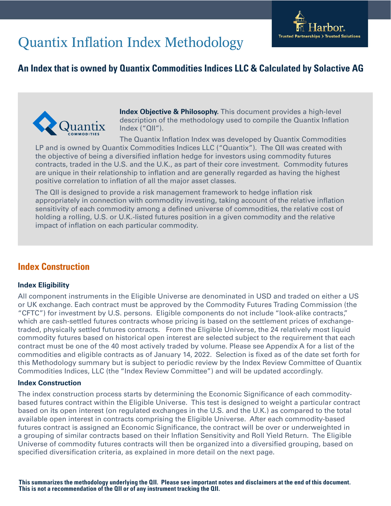

# Quantix Inflation Index Methodology

## **An Index that is owned by Quantix Commodities Indices LLC & Calculated by Solactive AG**



**Index Objective & Philosophy.** This document provides a high-level description of the methodology used to compile the Quantix Inflation Index ("QII").

The Quantix Inflation Index was developed by Quantix Commodities LP and is owned by Quantix Commodities Indices LLC ("Quantix"). The QII was created with the objective of being a diversified inflation hedge for investors using commodity futures contracts, traded in the U.S. and the U.K., as part of their core investment. Commodity futures are unique in their relationship to inflation and are generally regarded as having the highest positive correlation to inflation of all the major asset classes.

The QII is designed to provide a risk management framework to hedge inflation risk appropriately in connection with commodity investing, taking account of the relative inflation sensitivity of each commodity among a defined universe of commodities, the relative cost of holding a rolling, U.S. or U.K.-listed futures position in a given commodity and the relative impact of inflation on each particular commodity.

## **Index Construction**

## **Index Eligibility**

All component instruments in the Eligible Universe are denominated in USD and traded on either a US or UK exchange. Each contract must be approved by the Commodity Futures Trading Commission (the "CFTC") for investment by U.S. persons. Eligible components do not include "look-alike contracts," which are cash-settled futures contracts whose pricing is based on the settlement prices of exchangetraded, physically settled futures contracts. From the Eligible Universe, the 24 relatively most liquid commodity futures based on historical open interest are selected subject to the requirement that each contract must be one of the 40 most actively traded by volume. Please see Appendix A for a list of the commodities and eligible contracts as of January 14, 2022. Selection is fixed as of the date set forth for this Methodology summary but is subject to periodic review by the Index Review Committee of Quantix Commodities Indices, LLC (the "Index Review Committee") and will be updated accordingly.

#### **Index Construction**

The index construction process starts by determining the Economic Significance of each commoditybased futures contract within the Eligible Universe. This test is designed to weight a particular contract based on its open interest (on regulated exchanges in the U.S. and the U.K.) as compared to the total available open interest in contracts comprising the Eligible Universe. After each commodity-based futures contract is assigned an Economic Significance, the contract will be over or underweighted in a grouping of similar contracts based on their Inflation Sensitivity and Roll Yield Return. The Eligible Universe of commodity futures contracts will then be organized into a diversified grouping, based on specified diversification criteria, as explained in more detail on the next page.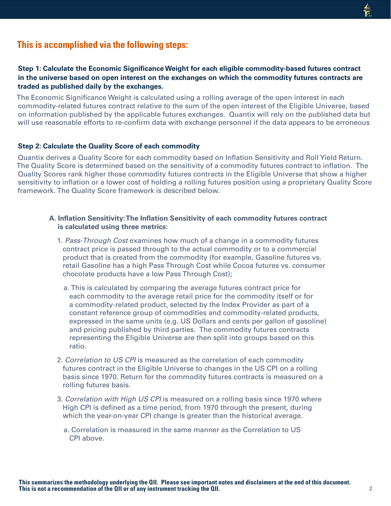## **This is accomplished via the following steps:**

#### **Step 1: Calculate the Economic Significance Weight for each eligible commodity-based futures contract in the universe based on open interest on the exchanges on which the commodity futures contracts are traded as published daily by the exchanges.**

The Economic Significance Weight is calculated using a rolling average of the open interest in each commodity-related futures contract relative to the sum of the open interest of the Eligible Universe, based on information published by the applicable futures exchanges. Quantix will rely on the published data but will use reasonable efforts to re-confirm data with exchange personnel if the data appears to be erroneous

#### **Step 2: Calculate the Quality Score of each commodity**

Quantix derives a Quality Score for each commodity based on Inflation Sensitivity and Roll Yield Return. The Quality Score is determined based on the sensitivity of a commodity futures contract to inflation. The Quality Scores rank higher those commodity futures contracts in the Eligible Universe that show a higher sensitivity to inflation or a lower cost of holding a rolling futures position using a proprietary Quality Score framework. The Quality Score framework is described below.

#### **A. Inflation Sensitivity: The Inflation Sensitivity of each commodity futures contract is calculated using three metrics:**

- 1. Pass-Through Cost examines how much of a change in a commodity futures contract price is passed through to the actual commodity or to a commercial product that is created from the commodity (for example, Gasoline futures vs. retail Gasoline has a high Pass Through Cost while Cocoa futures vs. consumer chocolate products have a low Pass Through Cost);
	- a. This is calculated by comparing the average futures contract price for each commodity to the average retail price for the commodity itself or for a commodity-related product, selected by the Index Provider as part of a constant reference group of commodities and commodity-related products, expressed in the same units (e.g. US Dollars and cents per gallon of gasoline) and pricing published by third parties. The commodity futures contracts representing the Eligible Universe are then split into groups based on this ratio.
- 2. Correlation to US CPI is measured as the correlation of each commodity futures contract in the Eligible Universe to changes in the US CPI on a rolling basis since 1970. Return for the commodity futures contracts is measured on a rolling futures basis.
- 3. Correlation with High US CPI is measured on a rolling basis since 1970 where High CPI is defined as a time period, from 1970 through the present, during which the year-on-year CPI change is greater than the historical average.
	- a. Correlation is measured in the same manner as the Correlation to US CPI above.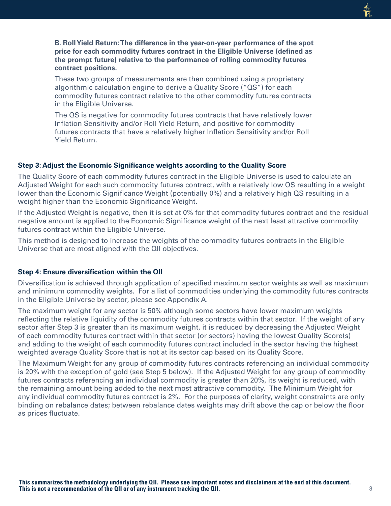**B. Roll Yield Return: The difference in the year-on-year performance of the spot price for each commodity futures contract in the Eligible Universe (defined as the prompt future) relative to the performance of rolling commodity futures contract positions.**

These two groups of measurements are then combined using a proprietary algorithmic calculation engine to derive a Quality Score ("QS") for each commodity futures contract relative to the other commodity futures contracts in the Eligible Universe.

The QS is negative for commodity futures contracts that have relatively lower Inflation Sensitivity and/or Roll Yield Return, and positive for commodity futures contracts that have a relatively higher Inflation Sensitivity and/or Roll Yield Return.

#### **Step 3: Adjust the Economic Significance weights according to the Quality Score**

The Quality Score of each commodity futures contract in the Eligible Universe is used to calculate an Adjusted Weight for each such commodity futures contract, with a relatively low QS resulting in a weight lower than the Economic Significance Weight (potentially 0%) and a relatively high QS resulting in a weight higher than the Economic Significance Weight.

If the Adjusted Weight is negative, then it is set at 0% for that commodity futures contract and the residual negative amount is applied to the Economic Significance weight of the next least attractive commodity futures contract within the Eligible Universe.

This method is designed to increase the weights of the commodity futures contracts in the Eligible Universe that are most aligned with the QII objectives.

#### **Step 4: Ensure diversification within the QII**

Diversification is achieved through application of specified maximum sector weights as well as maximum and minimum commodity weights. For a list of commodities underlying the commodity futures contracts in the Eligible Universe by sector, please see Appendix A.

The maximum weight for any sector is 50% although some sectors have lower maximum weights reflecting the relative liquidity of the commodity futures contracts within that sector. If the weight of any sector after Step 3 is greater than its maximum weight, it is reduced by decreasing the Adjusted Weight of each commodity futures contract within that sector (or sectors) having the lowest Quality Score(s) and adding to the weight of each commodity futures contract included in the sector having the highest weighted average Quality Score that is not at its sector cap based on its Quality Score.

The Maximum Weight for any group of commodity futures contracts referencing an individual commodity is 20% with the exception of gold (see Step 5 below). If the Adjusted Weight for any group of commodity futures contracts referencing an individual commodity is greater than 20%, its weight is reduced, with the remaining amount being added to the next most attractive commodity. The Minimum Weight for any individual commodity futures contract is 2%. For the purposes of clarity, weight constraints are only binding on rebalance dates; between rebalance dates weights may drift above the cap or below the floor as prices fluctuate.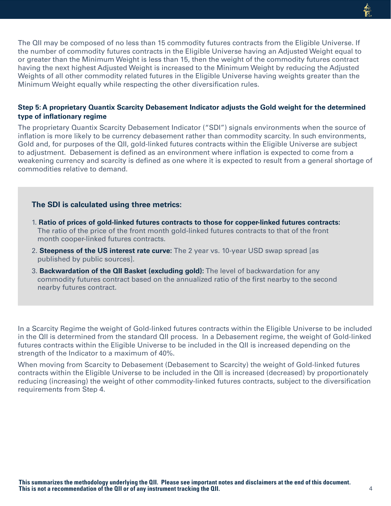The QII may be composed of no less than 15 commodity futures contracts from the Eligible Universe. If the number of commodity futures contracts in the Eligible Universe having an Adjusted Weight equal to or greater than the Minimum Weight is less than 15, then the weight of the commodity futures contract having the next highest Adjusted Weight is increased to the Minimum Weight by reducing the Adjusted Weights of all other commodity related futures in the Eligible Universe having weights greater than the Minimum Weight equally while respecting the other diversification rules.

#### **Step 5: A proprietary Quantix Scarcity Debasement Indicator adjusts the Gold weight for the determined type of inflationary regime**

The proprietary Quantix Scarcity Debasement Indicator ("SDI") signals environments when the source of inflation is more likely to be currency debasement rather than commodity scarcity. In such environments, Gold and, for purposes of the QII, gold-linked futures contracts within the Eligible Universe are subject to adjustment. Debasement is defined as an environment where inflation is expected to come from a weakening currency and scarcity is defined as one where it is expected to result from a general shortage of commodities relative to demand.

#### **The SDI is calculated using three metrics:**

- 1. **Ratio of prices of gold-linked futures contracts to those for copper-linked futures contracts:** The ratio of the price of the front month gold-linked futures contracts to that of the front month cooper-linked futures contracts.
- 2. **Steepness of the US interest rate curve:** The 2 year vs. 10-year USD swap spread [as published by public sources].
- 3. **Backwardation of the QII Basket (excluding gold):** The level of backwardation for any commodity futures contract based on the annualized ratio of the first nearby to the second nearby futures contract.

In a Scarcity Regime the weight of Gold-linked futures contracts within the Eligible Universe to be included in the QII is determined from the standard QII process. In a Debasement regime, the weight of Gold-linked futures contracts within the Eligible Universe to be included in the QII is increased depending on the strength of the Indicator to a maximum of 40%.

When moving from Scarcity to Debasement (Debasement to Scarcity) the weight of Gold-linked futures contracts within the Eligible Universe to be included in the QII is increased (decreased) by proportionately reducing (increasing) the weight of other commodity-linked futures contracts, subject to the diversification requirements from Step 4.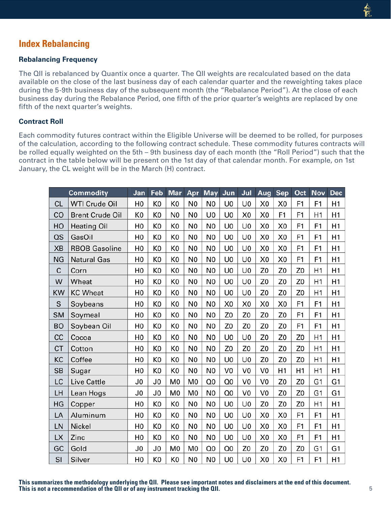## **Index Rebalancing**

#### **Rebalancing Frequency**

The QII is rebalanced by Quantix once a quarter. The QII weights are recalculated based on the data available on the close of the last business day of each calendar quarter and the reweighting takes place during the 5-9th business day of the subsequent month (the "Rebalance Period"). At the close of each business day during the Rebalance Period, one fifth of the prior quarter's weights are replaced by one fifth of the next quarter's weights.

#### **Contract Roll**

Each commodity futures contract within the Eligible Universe will be deemed to be rolled, for purposes of the calculation, according to the following contract schedule. These commodity futures contracts will be rolled equally weighted on the 5th – 9th business day of each month (the "Roll Period") such that the contract in the table below will be present on the 1st day of that calendar month. For example, on 1st January, the CL weight will be in the March (H) contract.

|             | <b>Commodity</b>       | Jan            | Feb            | <b>Mar</b>     | Apr            | <b>May</b>     | Jun            | Jul            | Aug            | <b>Sep</b>     | Oct            | <b>Nov</b>     | <b>Dec</b>     |
|-------------|------------------------|----------------|----------------|----------------|----------------|----------------|----------------|----------------|----------------|----------------|----------------|----------------|----------------|
| <b>CL</b>   | <b>WTI Crude Oil</b>   | H <sub>0</sub> | K <sub>0</sub> | K <sub>0</sub> | N <sub>0</sub> | N <sub>0</sub> | U <sub>0</sub> | U <sub>0</sub> | X <sub>0</sub> | X <sub>0</sub> | F1             | F1             | H1             |
| CO          | <b>Brent Crude Oil</b> | K0             | K <sub>0</sub> | N <sub>0</sub> | N <sub>0</sub> | U0             | U <sub>0</sub> | X <sub>0</sub> | X0             | F1             | F <sub>1</sub> | H1             | H1             |
| HO          | <b>Heating Oil</b>     | H <sub>0</sub> | K <sub>0</sub> | K0             | N <sub>0</sub> | N <sub>0</sub> | U <sub>0</sub> | U <sub>0</sub> | X0             | X <sub>0</sub> | F1             | F <sub>1</sub> | H1             |
| $\alpha s$  | GasOil                 | H <sub>0</sub> | K0             | K0             | N <sub>0</sub> | N <sub>0</sub> | U <sub>0</sub> | U <sub>0</sub> | X0             | X <sub>0</sub> | F <sub>1</sub> | F <sub>1</sub> | H1             |
| <b>XB</b>   | <b>RBOB Gasoline</b>   | H <sub>0</sub> | K <sub>0</sub> | K <sub>0</sub> | N <sub>0</sub> | N <sub>0</sub> | U <sub>0</sub> | U <sub>0</sub> | X <sub>0</sub> | X <sub>0</sub> | F1             | F <sub>1</sub> | H1             |
| <b>NG</b>   | <b>Natural Gas</b>     | H <sub>0</sub> | K <sub>0</sub> | K <sub>0</sub> | N <sub>0</sub> | N0             | U0             | U <sub>0</sub> | X <sub>0</sub> | X <sub>0</sub> | F <sub>1</sub> | F <sub>1</sub> | H1             |
| $\mathsf C$ | Corn                   | H <sub>0</sub> | K <sub>0</sub> | K <sub>0</sub> | N <sub>0</sub> | N <sub>0</sub> | U <sub>0</sub> | U <sub>0</sub> | Z <sub>0</sub> | Z <sub>0</sub> | Z <sub>0</sub> | H1             | H1             |
| W           | Wheat                  | H <sub>0</sub> | K <sub>0</sub> | K <sub>0</sub> | N <sub>0</sub> | N <sub>0</sub> | U <sub>0</sub> | U <sub>0</sub> | Z0             | Z <sub>0</sub> | Z <sub>0</sub> | H1             | H1             |
| <b>KW</b>   | <b>KC Wheat</b>        | H <sub>0</sub> | K <sub>0</sub> | K <sub>0</sub> | N <sub>0</sub> | N <sub>0</sub> | U <sub>0</sub> | U <sub>0</sub> | Z <sub>0</sub> | Z <sub>0</sub> | Z <sub>0</sub> | H1             | H1             |
| S           | Soybeans               | H <sub>0</sub> | K <sub>0</sub> | K <sub>0</sub> | N <sub>0</sub> | N <sub>0</sub> | X <sub>0</sub> | X <sub>0</sub> | X <sub>0</sub> | X <sub>0</sub> | F1             | F1             | H1             |
| <b>SM</b>   | Soymeal                | H <sub>0</sub> | K <sub>0</sub> | K <sub>0</sub> | N <sub>0</sub> | N <sub>0</sub> | Z <sub>0</sub> | Z <sub>0</sub> | Z <sub>0</sub> | Z <sub>0</sub> | F <sub>1</sub> | F <sub>1</sub> | H1             |
| <b>BO</b>   | Soybean Oil            | H <sub>0</sub> | K <sub>0</sub> | K <sub>0</sub> | N <sub>0</sub> | N0             | Z <sub>0</sub> | Z <sub>0</sub> | Z <sub>0</sub> | Z <sub>0</sub> | F1             | F <sub>1</sub> | H1             |
| cc          | Cocoa                  | H <sub>0</sub> | K <sub>0</sub> | K0             | N <sub>0</sub> | N <sub>0</sub> | U0             | U <sub>0</sub> | Z <sub>0</sub> | Z <sub>0</sub> | Z <sub>0</sub> | H1             | H1             |
| <b>CT</b>   | Cotton                 | H <sub>0</sub> | K <sub>0</sub> | K <sub>0</sub> | N <sub>0</sub> | N <sub>0</sub> | Z <sub>0</sub> | Z <sub>0</sub> | Z <sub>0</sub> | Z <sub>0</sub> | Z <sub>0</sub> | H1             | H1             |
| KC          | Coffee                 | H <sub>0</sub> | K <sub>0</sub> | K <sub>0</sub> | N <sub>0</sub> | N <sub>0</sub> | U <sub>0</sub> | U <sub>0</sub> | Z0             | Z <sub>0</sub> | Z <sub>0</sub> | H1             | H1             |
| <b>SB</b>   | Sugar                  | H <sub>0</sub> | K <sub>0</sub> | K <sub>0</sub> | N <sub>0</sub> | N <sub>0</sub> | V <sub>0</sub> | V <sub>0</sub> | V <sub>0</sub> | H1             | H1             | H1             | H1             |
| LC          | <b>Live Cattle</b>     | J0             | J <sub>0</sub> | M <sub>0</sub> | M0             | Q0             | Q0             | V <sub>0</sub> | V <sub>0</sub> | Z <sub>0</sub> | Z <sub>0</sub> | G1             | G <sub>1</sub> |
| LH          | Lean Hogs              | J0             | J0             | M <sub>0</sub> | M <sub>0</sub> | N <sub>0</sub> | Q <sub>0</sub> | V <sub>0</sub> | V <sub>0</sub> | Z <sub>0</sub> | Z <sub>0</sub> | G1             | G <sub>1</sub> |
| HG          | Copper                 | H <sub>0</sub> | K <sub>0</sub> | K <sub>0</sub> | N <sub>0</sub> | N <sub>0</sub> | U <sub>0</sub> | U <sub>0</sub> | Z <sub>0</sub> | Z <sub>0</sub> | Z <sub>0</sub> | H1             | H1             |
| LA          | Aluminum               | H <sub>0</sub> | K <sub>0</sub> | K <sub>0</sub> | N <sub>0</sub> | N <sub>0</sub> | U <sub>0</sub> | U <sub>0</sub> | X0             | X <sub>0</sub> | F <sub>1</sub> | F <sub>1</sub> | H1             |
| LN          | Nickel                 | H <sub>0</sub> | K <sub>0</sub> | K <sub>0</sub> | N <sub>0</sub> | N <sub>0</sub> | U <sub>0</sub> | U <sub>0</sub> | X <sub>0</sub> | X <sub>0</sub> | F <sub>1</sub> | F <sub>1</sub> | H1             |
| LX          | Zinc                   | H <sub>0</sub> | K <sub>0</sub> | K <sub>0</sub> | N <sub>0</sub> | N <sub>0</sub> | U <sub>0</sub> | U <sub>0</sub> | X0             | X0             | F <sub>1</sub> | F <sub>1</sub> | H1             |
| GC          | Gold                   | J0             | J0             | M <sub>0</sub> | M <sub>0</sub> | Q <sub>0</sub> | Q <sub>0</sub> | Z <sub>0</sub> | Z <sub>0</sub> | Z <sub>0</sub> | Z <sub>0</sub> | G <sub>1</sub> | G <sub>1</sub> |
| SI          | Silver                 | H <sub>0</sub> | K <sub>0</sub> | K0             | N <sub>0</sub> | N <sub>0</sub> | U <sub>0</sub> | U <sub>0</sub> | X <sub>0</sub> | X <sub>0</sub> | F <sub>1</sub> | F1             | H1             |

**This summarizes the methodology underlying the QII. Please see important notes and disclaimers at the end of this document. This is not a recommendation of the QII or of any instrument tracking the QII.**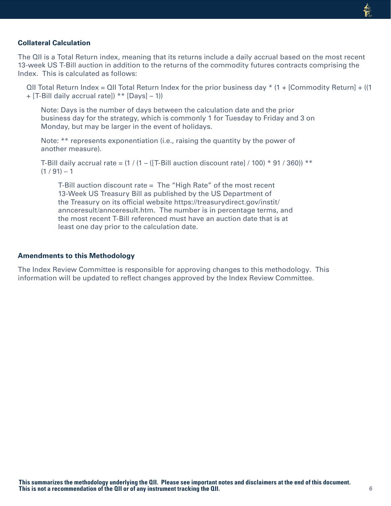#### **Collateral Calculation**

The QII is a Total Return index, meaning that its returns include a daily accrual based on the most recent 13-week US T-Bill auction in addition to the returns of the commodity futures contracts comprising the Index. This is calculated as follows:

QII Total Return Index = QII Total Return Index for the prior business day  $*$  (1 + [Commodity Return] + ((1 + [T-Bill daily accrual rate]) \*\* [Days] – 1))

Note: Days is the number of days between the calculation date and the prior business day for the strategy, which is commonly 1 for Tuesday to Friday and 3 on Monday, but may be larger in the event of holidays.

Note: \*\* represents exponentiation (i.e., raising the quantity by the power of another measure).

T-Bill daily accrual rate =  $(1 / (1 - (T - B))$  auction discount rate  $/ (100) * 91 / 360)$  \*\*  $(1/91) - 1$ 

T-Bill auction discount rate = The "High Rate" of the most recent 13-Week US Treasury Bill as published by the US Department of the Treasury on its official website https://treasurydirect.gov/instit/ annceresult/annceresult.htm. The number is in percentage terms, and the most recent T-Bill referenced must have an auction date that is at least one day prior to the calculation date.

#### **Amendments to this Methodology**

The Index Review Committee is responsible for approving changes to this methodology. This information will be updated to reflect changes approved by the Index Review Committee.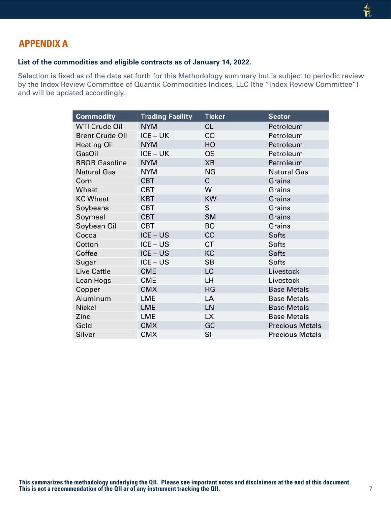# **APPENDIX A**

## **List of the commodities and eligible contracts as of January 14, 2022.**

Selection is fixed as of the date set forth for this Methodology summary but is subject to periodic review by the Index Review Committee of Quantix Commodities Indices, LLC (the "Index Review Committee") and will be updated accordingly.

| <b>Commodity</b>       | <b>Trading Facility</b> | <b>Ticker</b> | <b>Sector</b>          |
|------------------------|-------------------------|---------------|------------------------|
| <b>WTI Crude Oil</b>   | <b>NYM</b>              | <b>CL</b>     | Petroleum              |
| <b>Brent Crude Oil</b> | ICE – UK                | CO            | Petroleum              |
| <b>Heating Oil</b>     | <b>NYM</b>              | HO            | Petroleum              |
| GasOil                 | ICE – UK                | QS            | Petroleum              |
| <b>RBOB Gasoline</b>   | <b>NYM</b>              | <b>XB</b>     | Petroleum              |
| <b>Natural Gas</b>     | <b>NYM</b>              | <b>NG</b>     | <b>Natural Gas</b>     |
| Corn                   | <b>CBT</b>              | $\mathsf{C}$  | Grains                 |
| Wheat                  | <b>CBT</b>              | W             | Grains                 |
| <b>KC Wheat</b>        | <b>KBT</b>              | <b>KW</b>     | Grains                 |
| Soybeans               | <b>CBT</b>              | S             | Grains                 |
| Soymeal                | <b>CBT</b>              | <b>SM</b>     | Grains                 |
| Soybean Oil            | <b>CBT</b>              | <b>BO</b>     | Grains                 |
| Cocoa                  | ICE – US                | cc            | <b>Softs</b>           |
| Cotton                 | $ICE - US$              | CT            | Softs                  |
| Coffee                 | ICE – US                | KC            | Softs                  |
| Sugar                  | ICE – US                | <b>SB</b>     | Softs                  |
| <b>Live Cattle</b>     | <b>CME</b>              | LC            | Livestock              |
| Lean Hogs              | <b>CME</b>              | LH            | Livestock              |
| Copper                 | <b>CMX</b>              | HG            | <b>Base Metals</b>     |
| Aluminum               | LME                     | LA            | <b>Base Metals</b>     |
| Nickel                 | <b>LME</b>              | LN            | <b>Base Metals</b>     |
| Zinc                   | LME                     | <b>LX</b>     | <b>Base Metals</b>     |
| Gold                   | <b>CMX</b>              | GC            | <b>Precious Metals</b> |
| Silver                 | <b>CMX</b>              | SI            | <b>Precious Metals</b> |